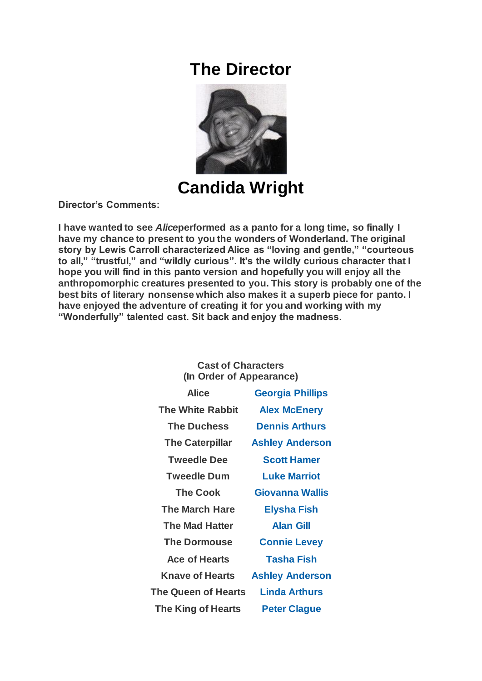## **The Director**



**Candida Wright**

**Director's Comments:**

**I have wanted to see** *Alice***performed as a panto for a long time, so finally I have my chance to present to you the wonders of Wonderland. The original story by Lewis Carroll characterized Alice as "loving and gentle," "courteous to all," "trustful," and "wildly curious". It's the wildly curious character that I hope you will find in this panto version and hopefully you will enjoy all the anthropomorphic creatures presented to you. This story is probably one of the best bits of literary nonsense which also makes it a superb piece for panto. I have enjoyed the adventure of creating it for you and working with my "Wonderfully" talented cast. Sit back and enjoy the madness.**

## **Cast of Characters (In Order of Appearance)**

| Alice                   | <b>Georgia Phillips</b> |
|-------------------------|-------------------------|
| <b>The White Rabbit</b> | <b>Alex McEnery</b>     |
| <b>The Duchess</b>      | <b>Dennis Arthurs</b>   |
| <b>The Caterpillar</b>  | <b>Ashley Anderson</b>  |
| <b>Tweedle Dee</b>      | <b>Scott Hamer</b>      |
| <b>Tweedle Dum</b>      | <b>Luke Marriot</b>     |
| <b>The Cook</b>         | Giovanna Wallis         |
| <b>The March Hare</b>   | <b>Elysha Fish</b>      |
| <b>The Mad Hatter</b>   | <b>Alan Gill</b>        |
| <b>The Dormouse</b>     | <b>Connie Levey</b>     |
| <b>Ace of Hearts</b>    | <b>Tasha Fish</b>       |
| <b>Knave of Hearts</b>  | <b>Ashley Anderson</b>  |
| The Queen of Hearts     | Linda Arthurs           |
| The King of Hearts      | <b>Peter Clague</b>     |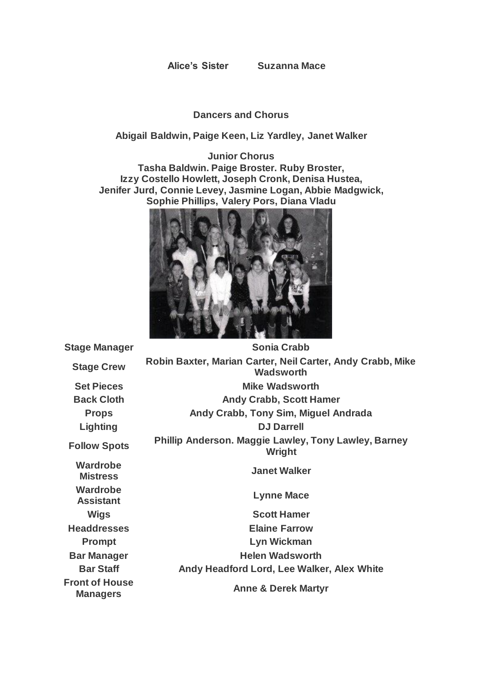**Alice's Sister Suzanna Mace**

## **Dancers and Chorus**

## **Abigail Baldwin, Paige Keen, Liz Yardley, Janet Walker**

**Junior Chorus Tasha Baldwin. Paige Broster. Ruby Broster, Izzy Costello Howlett, Joseph Cronk, Denisa Hustea, Jenifer Jurd, Connie Levey, Jasmine Logan, Abbie Madgwick, Sophie Phillips, Valery Pors, Diana Vladu**



**Wardrobe Wardrobe Front of House Managers Anne & Derek Martyr**

**Stage Manager Sonia Crabb Stage Crew Robin Baxter, Marian Carter, Neil Carter, Andy Crabb, Mike Wadsworth Set Pieces Mike Wadsworth Back Cloth Andy Crabb, Scott Hamer Props Andy Crabb, Tony Sim, Miguel Andrada Lighting DJ Darrell Follow Spots Phillip Anderson. Maggie Lawley, Tony Lawley, Barney Wright Mistress Janet Walker Assistant Lynne Mace Wigs Scott Hamer Headdresses Elaine Farrow Prompt Lyn Wickman Bar Manager Helen Wadsworth Bar Staff Andy Headford Lord, Lee Walker, Alex White**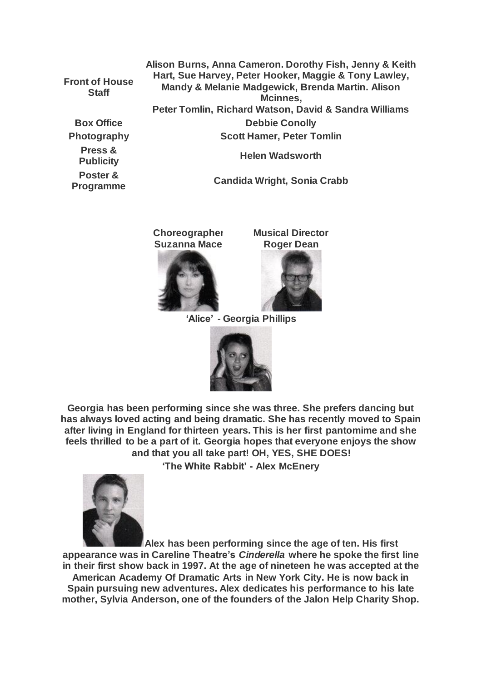**Front of House Staff**

**Press &** 

**Poster &** 

**Alison Burns, Anna Cameron. Dorothy Fish, Jenny & Keith Hart, Sue Harvey, Peter Hooker, Maggie & Tony Lawley, Mandy & Melanie Madgewick, Brenda Martin. Alison Mcinnes, Peter Tomlin, Richard Watson, David & Sandra Williams Box Office Conolly Photography Scott Hamer, Peter Tomlin Publicity Helen Wadsworth** 

**Programme Candida Wright, Sonia Crabb**

**Choreographer Suzanna Mace**

**Musical Director Roger Dean**



**'Alice' - Georgia Phillips**



**Georgia has been performing since she was three. She prefers dancing but has always loved acting and being dramatic. She has recently moved to Spain after living in England for thirteen years. This is her first pantomime and she feels thrilled to be a part of it. Georgia hopes that everyone enjoys the show and that you all take part! OH, YES, SHE DOES!**

**'The White Rabbit' - Alex McEnery**



**Alex has been performing since the age of ten. His first appearance was in Careline Theatre's** *Cinderella* **where he spoke the first line in their first show back in 1997. At the age of nineteen he was accepted at the American Academy Of Dramatic Arts in New York City. He is now back in Spain pursuing new adventures. Alex dedicates his performance to his late mother, Sylvia Anderson, one of the founders of the Jalon Help Charity Shop.**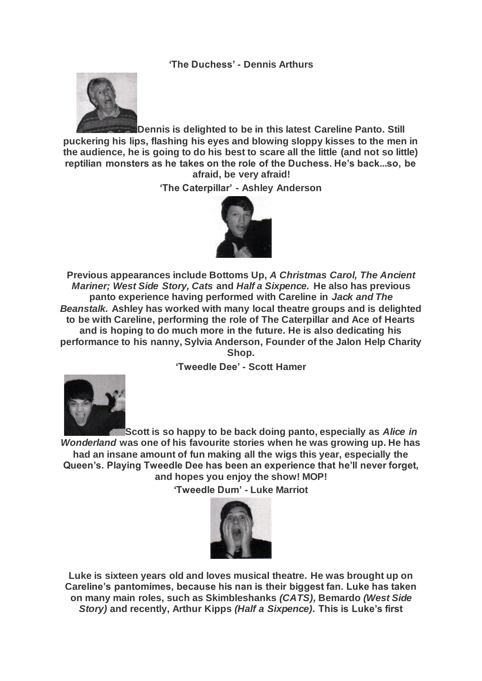**'The Duchess' - Dennis Arthurs**



**Dennis is delighted to be in this latest Careline Panto. Still puckering his lips, flashing his eyes and blowing sloppy kisses to the men in the audience, he is going to do his best to scare all the little (and not so little) reptilian monsters as he takes on the role of the Duchess. He's back...so, be afraid, be very afraid!**

**'The Caterpillar' - Ashley Anderson**



**Previous appearances include Bottoms Up,** *A Christmas Carol, The Ancient Mariner; West Side Story, Cats* **and** *Half a Sixpence.* **He also has previous panto experience having performed with Careline in** *Jack and The Beanstalk.* **Ashley has worked with many local theatre groups and is delighted to be with Careline, performing the role of The Caterpillar and Ace of Hearts and is hoping to do much more in the future. He is also dedicating his performance to his nanny, Sylvia Anderson, Founder of the Jalon Help Charity Shop.**

**'Tweedle Dee' - Scott Hamer**



**Scott is so happy to be back doing panto, especially as** *Alice in Wonderland* **was one of his favourite stories when he was growing up. He has had an insane amount of fun making all the wigs this year, especially the Queen's. Playing Tweedle Dee has been an experience that he'll never forget, and hopes you enjoy the show! MOP!**

**'Tweedle Dum' - Luke Marriot**



**Luke is sixteen years old and loves musical theatre. He was brought up on Careline's pantomimes, because his nan is their biggest fan. Luke has taken on many main roles, such as Skimbleshanks** *(CATS),* **Bemardo** *(West Side Story)* **and recently, Arthur Kipps** *(Half a Sixpence).* **This is Luke's first**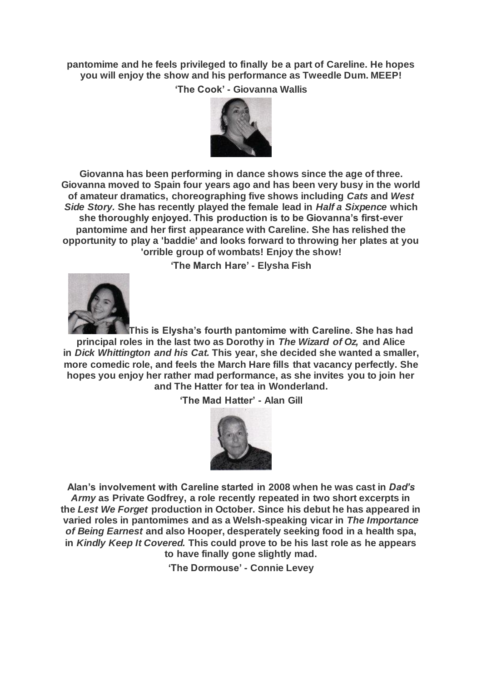**pantomime and he feels privileged to finally be a part of Careline. He hopes you will enjoy the show and his performance as Tweedle Dum. MEEP! 'The Cook' - Giovanna Wallis**



**Giovanna has been performing in dance shows since the age of three. Giovanna moved to Spain four years ago and has been very busy in the world of amateur dramatics, choreographing five shows including** *Cats* **and** *West Side Story.* **She has recently played the female lead in** *Half a Sixpence* **which she thoroughly enjoyed. This production is to be Giovanna's first-ever pantomime and her first appearance with Careline. She has relished the opportunity to play a 'baddie' and looks forward to throwing her plates at you 'orrible group of wombats! Enjoy the show!**

**'The March Hare' - Elysha Fish**



**This is Elysha's fourth pantomime with Careline. She has had principal roles in the last two as Dorothy in** *The Wizard of Oz,* **and Alice in** *Dick Whittington and his Cat.* **This year, she decided she wanted a smaller, more comedic role, and feels the March Hare fills that vacancy perfectly. She hopes you enjoy her rather mad performance, as she invites you to join her and The Hatter for tea in Wonderland.**

**'The Mad Hatter' - Alan Gill**



**Alan's involvement with Careline started in 2008 when he was cast in** *Dad's Army* **as Private Godfrey, a role recently repeated in two short excerpts in the** *Lest We Forget* **production in October. Since his debut he has appeared in varied roles in pantomimes and as a Welsh-speaking vicar in** *The Importance of Being Earnest* **and also Hooper, desperately seeking food in a health spa, in** *Kindly Keep It Covered.* **This could prove to be his last role as he appears to have finally gone slightly mad.**

**'The Dormouse' - Connie Levey**